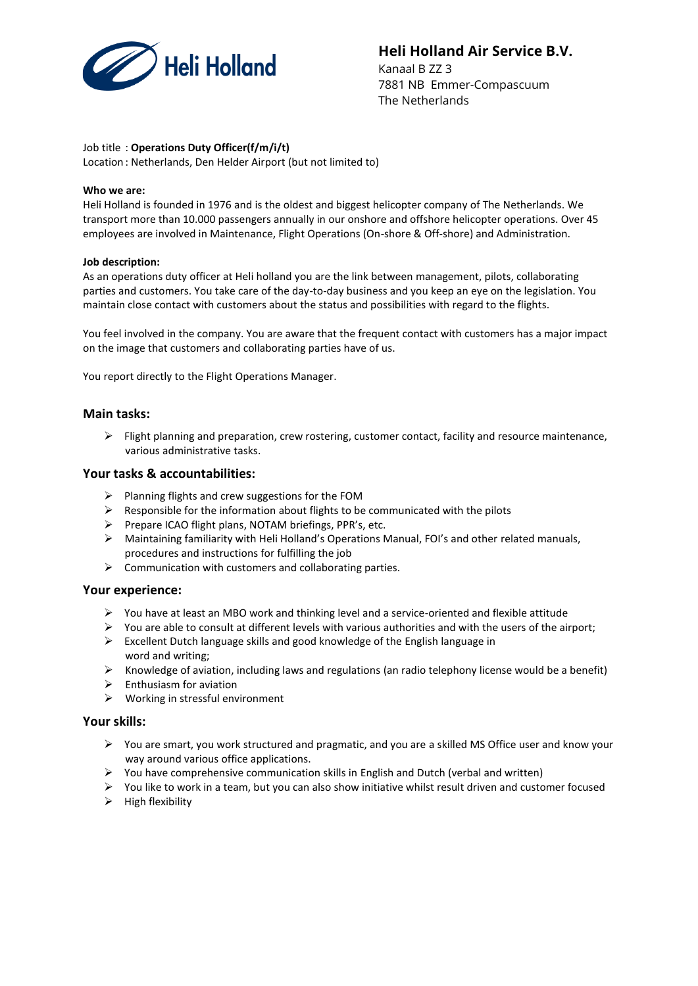

# **Heli Holland Air Service B.V.**

Kanaal B ZZ 3 7881 NB Emmer-Compascuum The Netherlands

## Job title : **Operations Duty Officer(f/m/i/t)**

Location : Netherlands, Den Helder Airport (but not limited to)

#### **Who we are:**

Heli Holland is founded in 1976 and is the oldest and biggest helicopter company of The Netherlands. We transport more than 10.000 passengers annually in our onshore and offshore helicopter operations. Over 45 employees are involved in Maintenance, Flight Operations (On-shore & Off-shore) and Administration.

#### **Job description:**

As an operations duty officer at Heli holland you are the link between management, pilots, collaborating parties and customers. You take care of the day-to-day business and you keep an eye on the legislation. You maintain close contact with customers about the status and possibilities with regard to the flights.

You feel involved in the company. You are aware that the frequent contact with customers has a major impact on the image that customers and collaborating parties have of us.

You report directly to the Flight Operations Manager.

## **Main tasks:**

 $\triangleright$  Flight planning and preparation, crew rostering, customer contact, facility and resource maintenance, various administrative tasks.

#### **Your tasks & accountabilities:**

- ➢ Planning flights and crew suggestions for the FOM
- $\triangleright$  Responsible for the information about flights to be communicated with the pilots
- ➢ Prepare ICAO flight plans, NOTAM briefings, PPR's, etc.
- ➢ Maintaining familiarity with Heli Holland's Operations Manual, FOI's and other related manuals, procedures and instructions for fulfilling the job
- $\triangleright$  Communication with customers and collaborating parties.

## **Your experience:**

- $\triangleright$  You have at least an MBO work and thinking level and a service-oriented and flexible attitude
- $\triangleright$  You are able to consult at different levels with various authorities and with the users of the airport;
- ➢ Excellent Dutch language skills and good knowledge of the English language in word and writing;
- $\triangleright$  Knowledge of aviation, including laws and regulations (an radio telephony license would be a benefit)
- ➢ Enthusiasm for aviation
- ➢ Working in stressful environment

#### **Your skills:**

- $\triangleright$  You are smart, you work structured and pragmatic, and you are a skilled MS Office user and know your way around various office applications.
- $\triangleright$  You have comprehensive communication skills in English and Dutch (verbal and written)
- ➢ You like to work in a team, but you can also show initiative whilst result driven and customer focused
- ➢ High flexibility